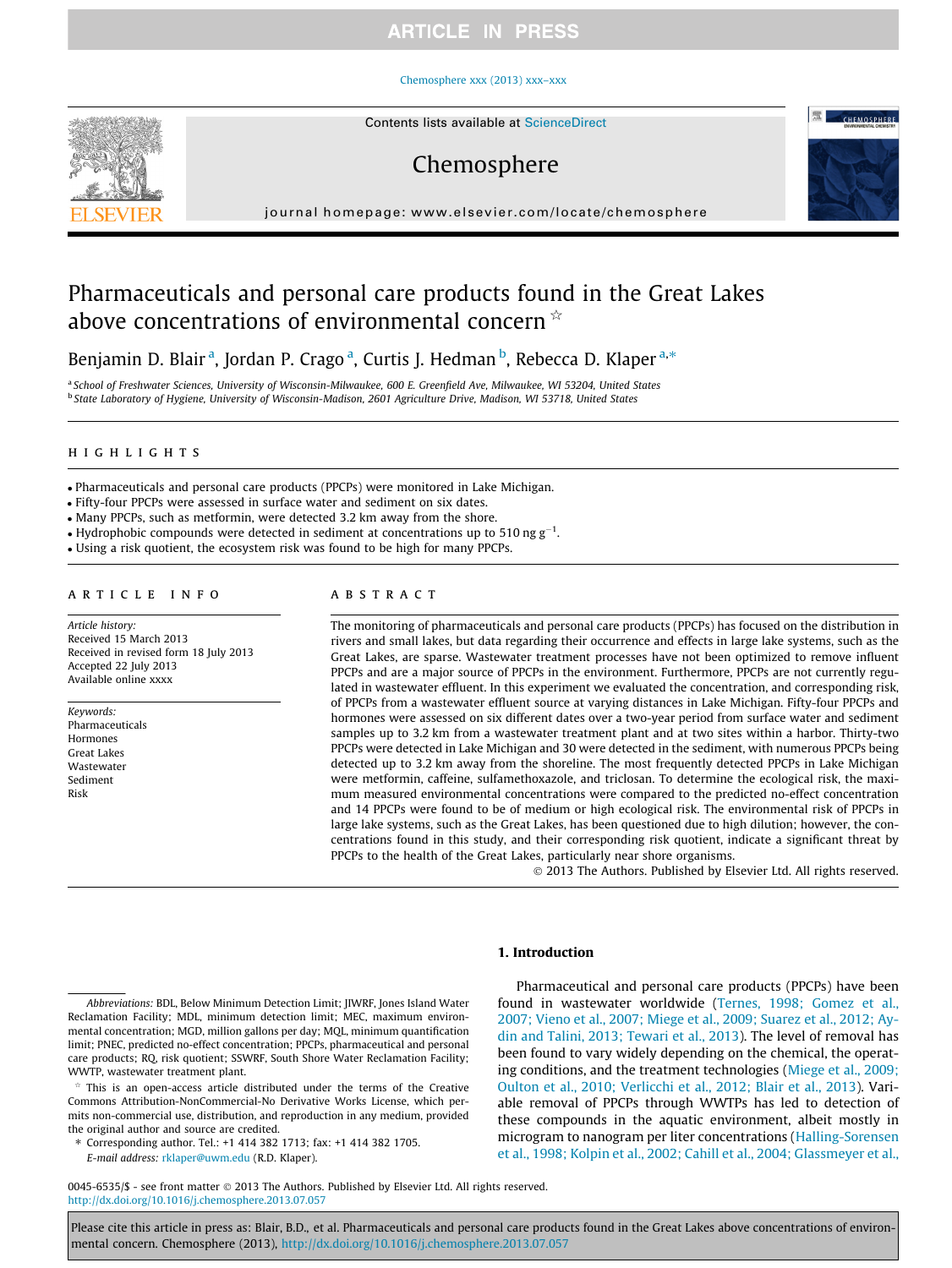#### [Chemosphere xxx \(2013\) xxx–xxx](http://dx.doi.org/10.1016/j.chemosphere.2013.07.057)



Contents lists available at [ScienceDirect](http://www.sciencedirect.com/science/journal/00456535)

# Chemosphere



journal homepage: [www.elsevier.com/locate/chemosphere](http://www.elsevier.com/locate/chemosphere)

# Pharmaceuticals and personal care products found in the Great Lakes above concentrations of environmental concern  $\dot{\mathbf{x}}$

Benjamin D. Blair <sup>a</sup>, Jordan P. Crago <sup>a</sup>, Curtis J. Hedman <sup>b</sup>, Rebecca D. Klaper <sup>a,\*</sup>

<sup>a</sup> School of Freshwater Sciences, University of Wisconsin-Milwaukee, 600 E. Greenfield Ave, Milwaukee, WI 53204, United States <sup>b</sup> State Laboratory of Hygiene, University of Wisconsin-Madison, 2601 Agriculture Drive, Madison, WI 53718, United States

#### highlights

- Pharmaceuticals and personal care products (PPCPs) were monitored in Lake Michigan.

- Fifty-four PPCPs were assessed in surface water and sediment on six dates.

- Many PPCPs, such as metformin, were detected 3.2 km away from the shore.

• Hydrophobic compounds were detected in sediment at concentrations up to 510 ng  $g^{-1}$ .

- Using a risk quotient, the ecosystem risk was found to be high for many PPCPs.

#### article info

Article history: Received 15 March 2013 Received in revised form 18 July 2013 Accepted 22 July 2013 Available online xxxx

Keywords: Pharmaceuticals Hormones Great Lakes Wastewater Sediment Risk

#### **ABSTRACT**

The monitoring of pharmaceuticals and personal care products (PPCPs) has focused on the distribution in rivers and small lakes, but data regarding their occurrence and effects in large lake systems, such as the Great Lakes, are sparse. Wastewater treatment processes have not been optimized to remove influent PPCPs and are a major source of PPCPs in the environment. Furthermore, PPCPs are not currently regulated in wastewater effluent. In this experiment we evaluated the concentration, and corresponding risk, of PPCPs from a wastewater effluent source at varying distances in Lake Michigan. Fifty-four PPCPs and hormones were assessed on six different dates over a two-year period from surface water and sediment samples up to 3.2 km from a wastewater treatment plant and at two sites within a harbor. Thirty-two PPCPs were detected in Lake Michigan and 30 were detected in the sediment, with numerous PPCPs being detected up to 3.2 km away from the shoreline. The most frequently detected PPCPs in Lake Michigan were metformin, caffeine, sulfamethoxazole, and triclosan. To determine the ecological risk, the maximum measured environmental concentrations were compared to the predicted no-effect concentration and 14 PPCPs were found to be of medium or high ecological risk. The environmental risk of PPCPs in large lake systems, such as the Great Lakes, has been questioned due to high dilution; however, the concentrations found in this study, and their corresponding risk quotient, indicate a significant threat by PPCPs to the health of the Great Lakes, particularly near shore organisms.

- 2013 The Authors. Published by Elsevier Ltd. All rights reserved.

## 1. Introduction

⇑ Corresponding author. Tel.: +1 414 382 1713; fax: +1 414 382 1705. E-mail address: [rklaper@uwm.edu](mailto:rklaper@uwm.edu) (R.D. Klaper).

Pharmaceutical and personal care products (PPCPs) have been found in wastewater worldwide [\(Ternes, 1998; Gomez et al.,](#page-7-0) [2007; Vieno et al., 2007; Miege et al., 2009; Suarez et al., 2012; Ay](#page-7-0)[din and Talini, 2013; Tewari et al., 2013\)](#page-7-0). The level of removal has been found to vary widely depending on the chemical, the operating conditions, and the treatment technologies [\(Miege et al., 2009;](#page-6-0) [Oulton et al., 2010; Verlicchi et al., 2012; Blair et al., 2013\)](#page-6-0). Variable removal of PPCPs through WWTPs has led to detection of these compounds in the aquatic environment, albeit mostly in microgram to nanogram per liter concentrations ([Halling-Sorensen](#page-6-0) [et al., 1998; Kolpin et al., 2002; Cahill et al., 2004; Glassmeyer et al.,](#page-6-0)

0045-6535/\$ - see front matter © 2013 The Authors. Published by Elsevier Ltd. All rights reserved. <http://dx.doi.org/10.1016/j.chemosphere.2013.07.057>

Abbreviations: BDL, Below Minimum Detection Limit; JIWRF, Jones Island Water Reclamation Facility; MDL, minimum detection limit; MEC, maximum environmental concentration; MGD, million gallons per day; MQL, minimum quantification limit; PNEC, predicted no-effect concentration; PPCPs, pharmaceutical and personal care products; RQ, risk quotient; SSWRF, South Shore Water Reclamation Facility; WWTP, wastewater treatment plant.

This is an open-access article distributed under the terms of the Creative Commons Attribution-NonCommercial-No Derivative Works License, which permits non-commercial use, distribution, and reproduction in any medium, provided the original author and source are credited.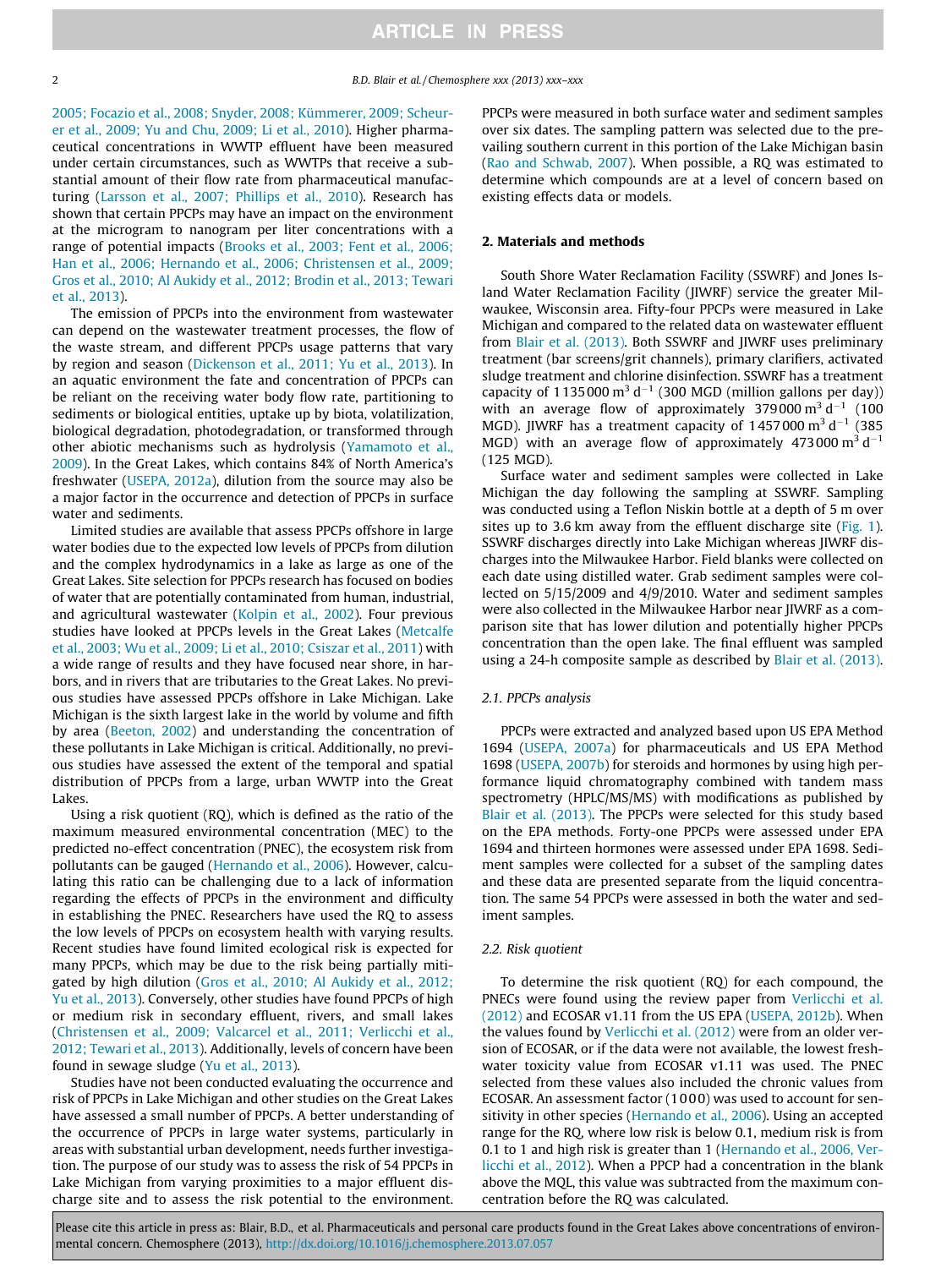2 B.D. Blair et al. / Chemosphere xxx (2013) xxx–xxx

[2005; Focazio et al., 2008; Snyder, 2008; Kümmerer, 2009; Scheur](#page-6-0)[er et al., 2009; Yu and Chu, 2009; Li et al., 2010](#page-6-0)). Higher pharmaceutical concentrations in WWTP effluent have been measured under certain circumstances, such as WWTPs that receive a substantial amount of their flow rate from pharmaceutical manufacturing ([Larsson et al., 2007; Phillips et al., 2010](#page-6-0)). Research has shown that certain PPCPs may have an impact on the environment at the microgram to nanogram per liter concentrations with a range of potential impacts ([Brooks et al., 2003; Fent et al., 2006;](#page-6-0) [Han et al., 2006; Hernando et al., 2006; Christensen et al., 2009;](#page-6-0) [Gros et al., 2010; Al Aukidy et al., 2012; Brodin et al., 2013; Tewari](#page-6-0) [et al., 2013\)](#page-6-0).

The emission of PPCPs into the environment from wastewater can depend on the wastewater treatment processes, the flow of the waste stream, and different PPCPs usage patterns that vary by region and season ([Dickenson et al., 2011; Yu et al., 2013](#page-6-0)). In an aquatic environment the fate and concentration of PPCPs can be reliant on the receiving water body flow rate, partitioning to sediments or biological entities, uptake up by biota, volatilization, biological degradation, photodegradation, or transformed through other abiotic mechanisms such as hydrolysis ([Yamamoto et al.,](#page-7-0) [2009\)](#page-7-0). In the Great Lakes, which contains 84% of North America's freshwater ([USEPA, 2012a](#page-7-0)), dilution from the source may also be a major factor in the occurrence and detection of PPCPs in surface water and sediments.

Limited studies are available that assess PPCPs offshore in large water bodies due to the expected low levels of PPCPs from dilution and the complex hydrodynamics in a lake as large as one of the Great Lakes. Site selection for PPCPs research has focused on bodies of water that are potentially contaminated from human, industrial, and agricultural wastewater [\(Kolpin et al., 2002\)](#page-6-0). Four previous studies have looked at PPCPs levels in the Great Lakes [\(Metcalfe](#page-6-0) [et al., 2003; Wu et al., 2009; Li et al., 2010; Csiszar et al., 2011](#page-6-0)) with a wide range of results and they have focused near shore, in harbors, and in rivers that are tributaries to the Great Lakes. No previous studies have assessed PPCPs offshore in Lake Michigan. Lake Michigan is the sixth largest lake in the world by volume and fifth by area [\(Beeton, 2002\)](#page-6-0) and understanding the concentration of these pollutants in Lake Michigan is critical. Additionally, no previous studies have assessed the extent of the temporal and spatial distribution of PPCPs from a large, urban WWTP into the Great Lakes.

Using a risk quotient (RQ), which is defined as the ratio of the maximum measured environmental concentration (MEC) to the predicted no-effect concentration (PNEC), the ecosystem risk from pollutants can be gauged ([Hernando et al., 2006](#page-6-0)). However, calculating this ratio can be challenging due to a lack of information regarding the effects of PPCPs in the environment and difficulty in establishing the PNEC. Researchers have used the RQ to assess the low levels of PPCPs on ecosystem health with varying results. Recent studies have found limited ecological risk is expected for many PPCPs, which may be due to the risk being partially mitigated by high dilution ([Gros et al., 2010; Al Aukidy et al., 2012;](#page-6-0) [Yu et al., 2013\)](#page-6-0). Conversely, other studies have found PPCPs of high or medium risk in secondary effluent, rivers, and small lakes ([Christensen et al., 2009; Valcarcel et al., 2011; Verlicchi et al.,](#page-6-0) [2012; Tewari et al., 2013\)](#page-6-0). Additionally, levels of concern have been found in sewage sludge [\(Yu et al., 2013](#page-7-0)).

Studies have not been conducted evaluating the occurrence and risk of PPCPs in Lake Michigan and other studies on the Great Lakes have assessed a small number of PPCPs. A better understanding of the occurrence of PPCPs in large water systems, particularly in areas with substantial urban development, needs further investigation. The purpose of our study was to assess the risk of 54 PPCPs in Lake Michigan from varying proximities to a major effluent discharge site and to assess the risk potential to the environment.

PPCPs were measured in both surface water and sediment samples over six dates. The sampling pattern was selected due to the prevailing southern current in this portion of the Lake Michigan basin ([Rao and Schwab, 2007\)](#page-6-0). When possible, a RQ was estimated to determine which compounds are at a level of concern based on existing effects data or models.

## 2. Materials and methods

South Shore Water Reclamation Facility (SSWRF) and Jones Island Water Reclamation Facility (JIWRF) service the greater Milwaukee, Wisconsin area. Fifty-four PPCPs were measured in Lake Michigan and compared to the related data on wastewater effluent from [Blair et al. \(2013\).](#page-6-0) Both SSWRF and JIWRF uses preliminary treatment (bar screens/grit channels), primary clarifiers, activated sludge treatment and chlorine disinfection. SSWRF has a treatment capacity of 1135000  $\text{m}^3$  d<sup>-1</sup> (300 MGD (million gallons per day)) with an average flow of approximately 379000  $\mathrm{m}^3 \mathrm{d}^{-1}$  (100 MGD). JIWRF has a treatment capacity of  $1457000 \text{ m}^3 \text{ d}^{-1}$  (385 MGD) with an average flow of approximately 473000  $\text{m}^3$  d<sup>-1</sup> (125 MGD).

Surface water and sediment samples were collected in Lake Michigan the day following the sampling at SSWRF. Sampling was conducted using a Teflon Niskin bottle at a depth of 5 m over sites up to 3.6 km away from the effluent discharge site ([Fig. 1\)](#page-2-0). SSWRF discharges directly into Lake Michigan whereas JIWRF discharges into the Milwaukee Harbor. Field blanks were collected on each date using distilled water. Grab sediment samples were collected on 5/15/2009 and 4/9/2010. Water and sediment samples were also collected in the Milwaukee Harbor near JIWRF as a comparison site that has lower dilution and potentially higher PPCPs concentration than the open lake. The final effluent was sampled using a 24-h composite sample as described by [Blair et al. \(2013\).](#page-6-0)

#### 2.1. PPCPs analysis

PPCPs were extracted and analyzed based upon US EPA Method 1694 [\(USEPA, 2007a](#page-7-0)) for pharmaceuticals and US EPA Method 1698 ([USEPA, 2007b](#page-7-0)) for steroids and hormones by using high performance liquid chromatography combined with tandem mass spectrometry (HPLC/MS/MS) with modifications as published by [Blair et al. \(2013\)](#page-6-0). The PPCPs were selected for this study based on the EPA methods. Forty-one PPCPs were assessed under EPA 1694 and thirteen hormones were assessed under EPA 1698. Sediment samples were collected for a subset of the sampling dates and these data are presented separate from the liquid concentration. The same 54 PPCPs were assessed in both the water and sediment samples.

#### 2.2. Risk quotient

To determine the risk quotient (RQ) for each compound, the PNECs were found using the review paper from [Verlicchi et al.](#page-7-0) [\(2012\)](#page-7-0) and ECOSAR v1.11 from the US EPA ([USEPA, 2012b\)](#page-7-0). When the values found by [Verlicchi et al. \(2012\)](#page-7-0) were from an older version of ECOSAR, or if the data were not available, the lowest freshwater toxicity value from ECOSAR v1.11 was used. The PNEC selected from these values also included the chronic values from ECOSAR. An assessment factor (1000) was used to account for sensitivity in other species [\(Hernando et al., 2006\)](#page-6-0). Using an accepted range for the RQ, where low risk is below 0.1, medium risk is from 0.1 to 1 and high risk is greater than 1 [\(Hernando et al., 2006, Ver](#page-6-0)[licchi et al., 2012\)](#page-6-0). When a PPCP had a concentration in the blank above the MQL, this value was subtracted from the maximum concentration before the RQ was calculated.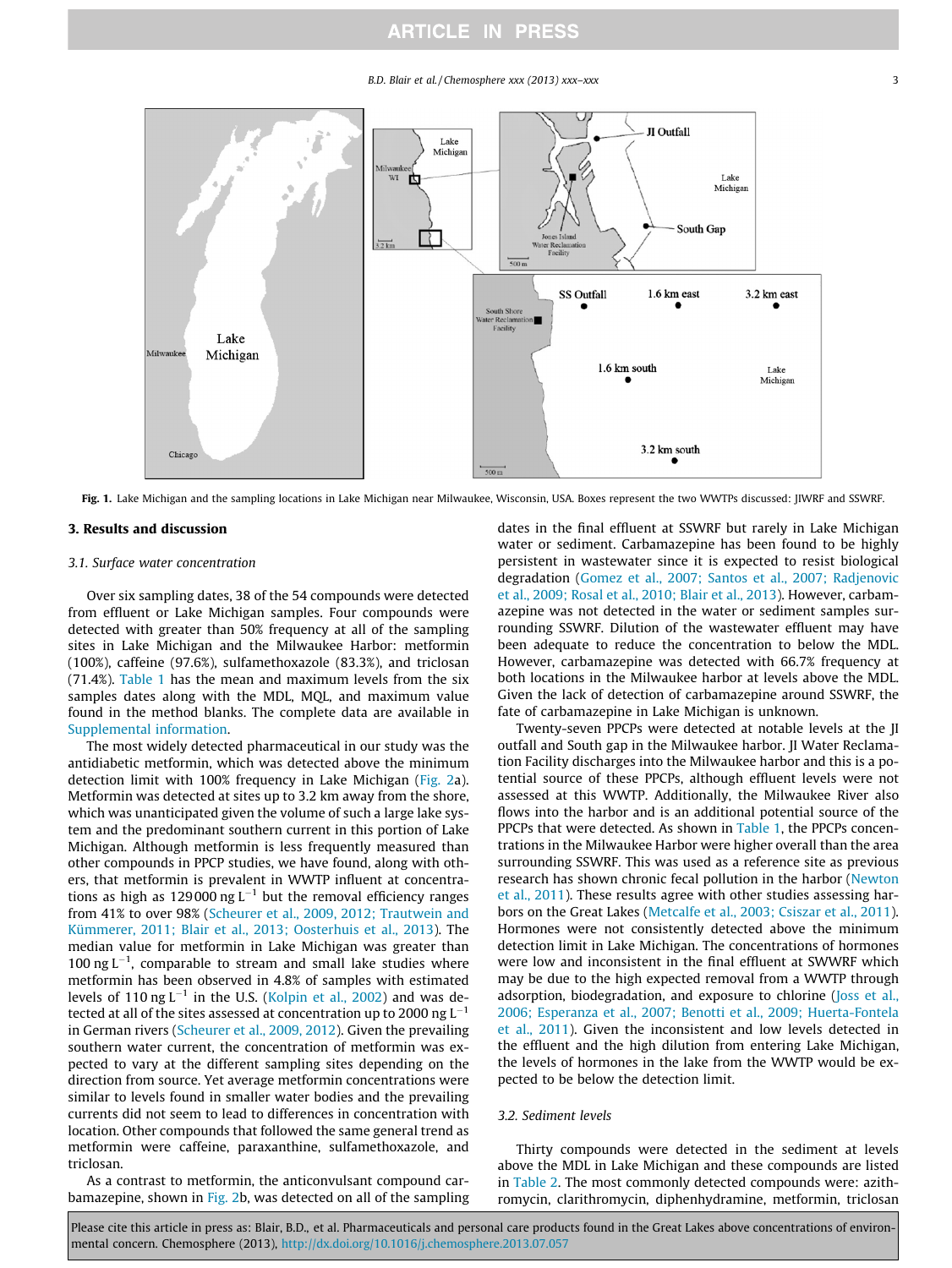#### B.D. Blair et al. / Chemosphere xxx (2013) xxx–xxx 3

<span id="page-2-0"></span>

Fig. 1. Lake Michigan and the sampling locations in Lake Michigan near Milwaukee, Wisconsin, USA. Boxes represent the two WWTPs discussed: [IWRF and SSWRF.

### 3. Results and discussion

#### 3.1. Surface water concentration

Over six sampling dates, 38 of the 54 compounds were detected from effluent or Lake Michigan samples. Four compounds were detected with greater than 50% frequency at all of the sampling sites in Lake Michigan and the Milwaukee Harbor: metformin (100%), caffeine (97.6%), sulfamethoxazole (83.3%), and triclosan (71.4%). [Table 1](#page-3-0) has the mean and maximum levels from the six samples dates along with the MDL, MQL, and maximum value found in the method blanks. The complete data are available in Supplemental information.

The most widely detected pharmaceutical in our study was the antidiabetic metformin, which was detected above the minimum detection limit with 100% frequency in Lake Michigan ([Fig. 2](#page-4-0)a). Metformin was detected at sites up to 3.2 km away from the shore, which was unanticipated given the volume of such a large lake system and the predominant southern current in this portion of Lake Michigan. Although metformin is less frequently measured than other compounds in PPCP studies, we have found, along with others, that metformin is prevalent in WWTP influent at concentrations as high as 129000 ng  $L^{-1}$  but the removal efficiency ranges from 41% to over 98% ([Scheurer et al., 2009, 2012; Trautwein and](#page-6-0) [Kümmerer, 2011; Blair et al., 2013; Oosterhuis et al., 2013\)](#page-6-0). The median value for metformin in Lake Michigan was greater than 100 ng  $L^{-1}$ , comparable to stream and small lake studies where metformin has been observed in 4.8% of samples with estimated levels of 110 ng  $L^{-1}$  in the U.S. ([Kolpin et al., 2002](#page-6-0)) and was detected at all of the sites assessed at concentration up to 2000 ng  $L^{-1}$ in German rivers ([Scheurer et al., 2009, 2012](#page-6-0)). Given the prevailing southern water current, the concentration of metformin was expected to vary at the different sampling sites depending on the direction from source. Yet average metformin concentrations were similar to levels found in smaller water bodies and the prevailing currents did not seem to lead to differences in concentration with location. Other compounds that followed the same general trend as metformin were caffeine, paraxanthine, sulfamethoxazole, and triclosan.

As a contrast to metformin, the anticonvulsant compound car-bamazepine, shown in [Fig. 2b](#page-4-0), was detected on all of the sampling dates in the final effluent at SSWRF but rarely in Lake Michigan water or sediment. Carbamazepine has been found to be highly persistent in wastewater since it is expected to resist biological degradation [\(Gomez et al., 2007; Santos et al., 2007; Radjenovic](#page-6-0) [et al., 2009; Rosal et al., 2010; Blair et al., 2013](#page-6-0)). However, carbamazepine was not detected in the water or sediment samples surrounding SSWRF. Dilution of the wastewater effluent may have been adequate to reduce the concentration to below the MDL. However, carbamazepine was detected with 66.7% frequency at both locations in the Milwaukee harbor at levels above the MDL. Given the lack of detection of carbamazepine around SSWRF, the fate of carbamazepine in Lake Michigan is unknown.

Twenty-seven PPCPs were detected at notable levels at the JI outfall and South gap in the Milwaukee harbor. JI Water Reclamation Facility discharges into the Milwaukee harbor and this is a potential source of these PPCPs, although effluent levels were not assessed at this WWTP. Additionally, the Milwaukee River also flows into the harbor and is an additional potential source of the PPCPs that were detected. As shown in [Table 1,](#page-3-0) the PPCPs concentrations in the Milwaukee Harbor were higher overall than the area surrounding SSWRF. This was used as a reference site as previous research has shown chronic fecal pollution in the harbor ([Newton](#page-6-0) [et al., 2011\)](#page-6-0). These results agree with other studies assessing harbors on the Great Lakes ([Metcalfe et al., 2003; Csiszar et al., 2011\)](#page-6-0). Hormones were not consistently detected above the minimum detection limit in Lake Michigan. The concentrations of hormones were low and inconsistent in the final effluent at SWWRF which may be due to the high expected removal from a WWTP through adsorption, biodegradation, and exposure to chlorine [\(Joss et al.,](#page-6-0) [2006; Esperanza et al., 2007; Benotti et al., 2009; Huerta-Fontela](#page-6-0) [et al., 2011](#page-6-0)). Given the inconsistent and low levels detected in the effluent and the high dilution from entering Lake Michigan, the levels of hormones in the lake from the WWTP would be expected to be below the detection limit.

### 3.2. Sediment levels

Thirty compounds were detected in the sediment at levels above the MDL in Lake Michigan and these compounds are listed in [Table 2](#page-5-0). The most commonly detected compounds were: azithromycin, clarithromycin, diphenhydramine, metformin, triclosan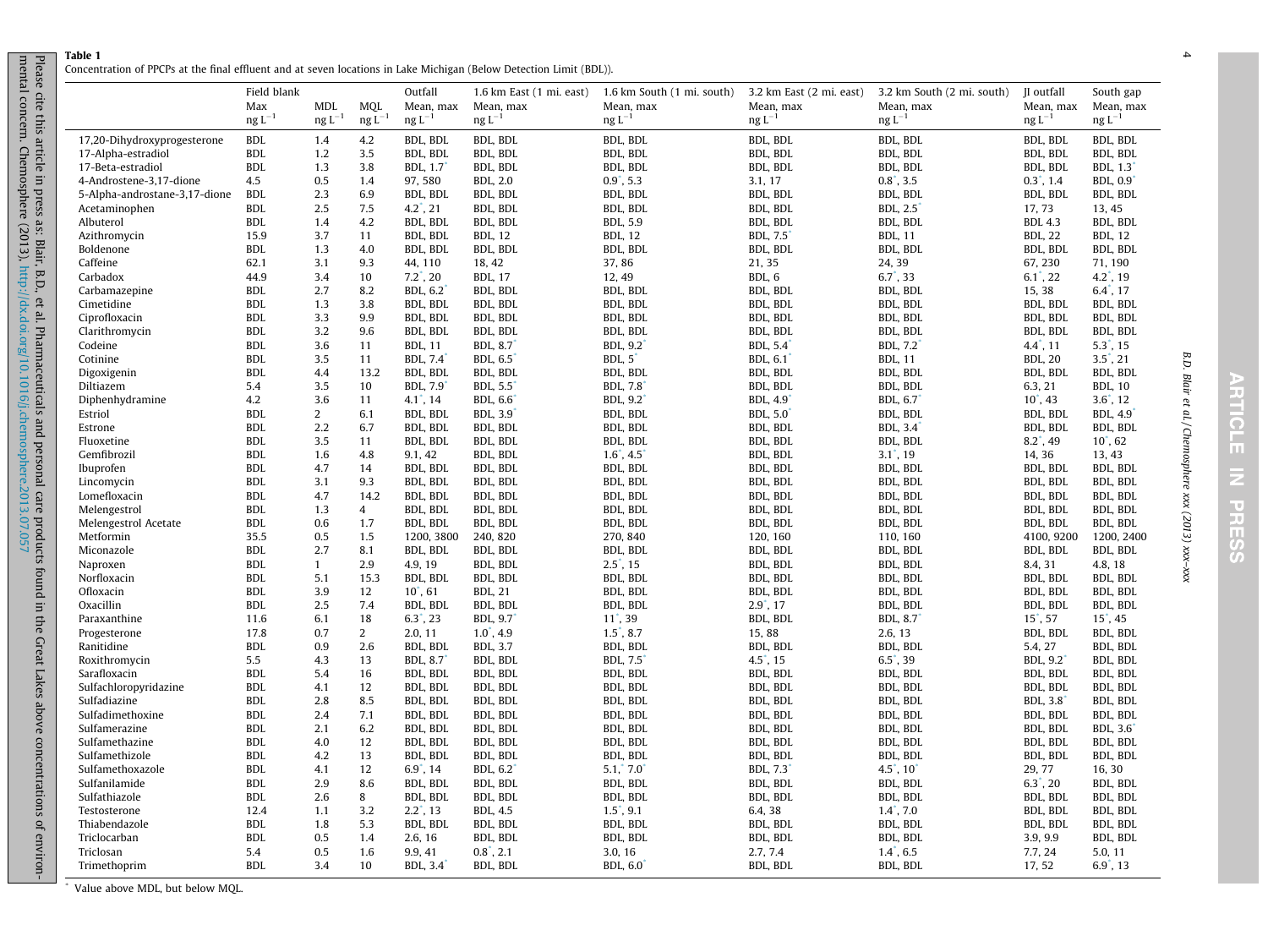<span id="page-3-0"></span>Table 1Concentration of PPCPs at the final effluent and at seven locations in Lake Michigan (Below Detection Limit (BDL)).

|                               | Field blank         |                |                | Outfall              | 1.6 km East (1 mi. east) | 1.6 km South (1 mi. south) | 3.2 km East (2 mi. east) | 3.2 km South (2 mi. south)    | II outfall                  | South gap            |
|-------------------------------|---------------------|----------------|----------------|----------------------|--------------------------|----------------------------|--------------------------|-------------------------------|-----------------------------|----------------------|
|                               | Max                 | MDL            | <b>MQL</b>     | Mean, max            | Mean, max                | Mean, max                  | Mean, max                | Mean, max                     | Mean, max                   | Mean, max            |
|                               | $\text{ng } L^{-1}$ | $ng L^{-1}$    | $ng L^{-1}$    | $ng L^{-1}$          | $ng L^{-1}$              | $ng L^{-1}$                | $ng L^{-1}$              | $\log L^{-1}$                 | $ng L^{-1}$                 | $\text{ng } L^{-1}$  |
| 17,20-Dihydroxyprogesterone   | <b>BDL</b>          | 1.4            | 4.2            | <b>BDL. BDL</b>      | BDL, BDL                 | BDL, BDL                   | BDL, BDL                 | BDL, BDL                      | <b>BDL. BDL</b>             | BDL, BDL             |
| 17-Alpha-estradiol            | <b>BDL</b>          | 1.2            | 3.5            | BDL, BDL             | BDL, BDL                 | BDL, BDL                   | BDL, BDL                 | BDL, BDL                      | BDL, BDL                    | BDL, BDL             |
| 17-Beta-estradiol             | <b>BDL</b>          | 1.3            | 3.8            | <b>BDL, 1.7</b>      | BDL, BDL                 | BDL, BDL                   | BDL, BDL                 | BDL, BDL                      | BDL, BDL                    | <b>BDL, 1.3</b>      |
| 4-Androstene-3,17-dione       | 4.5                 | 0.5            | 1.4            | 97,580               | <b>BDL, 2.0</b>          | $0.9^{\degree}, 5.3$       | 3.1, 17                  | $0.8^{\degree}$ , 3.5         | $0.3^{\degree}$ , 1.4       | <b>BDL, 0.9</b>      |
| 5-Alpha-androstane-3,17-dione | <b>BDL</b>          | 2.3            | 6.9            | BDL, BDL             | BDL, BDL                 | BDL, BDL                   | BDL, BDL                 | BDL, BDL                      | BDL, BDL                    | BDL, BDL             |
| Acetaminophen                 | <b>BDL</b>          | 2.5            | 7.5            | $4.2^{\degree}$ , 21 | BDL, BDL                 | <b>BDL. BDL</b>            | BDL, BDL                 | <b>BDL, 2.5</b>               | 17, 73                      | 13, 45               |
| Albuterol                     | <b>BDL</b>          | 1.4            | 4.2            | BDL, BDL             | BDL, BDL                 | BDL, 5.9                   | BDL, BDL                 | BDL, BDL                      | <b>BDL 4.3</b>              | BDL, BDL             |
| Azithromycin                  | 15.9                | 3.7            | 11             | BDL, BDL             | <b>BDL, 12</b>           | <b>BDL, 12</b>             | <b>BDL, 7.5</b>          | <b>BDL, 11</b>                | <b>BDL, 22</b>              | <b>BDL, 12</b>       |
| Boldenone                     | <b>BDL</b>          | 1.3            | 4.0            | BDL, BDL             | BDL, BDL                 | BDL, BDL                   | BDL, BDL                 | BDL, BDL                      | BDL, BDL                    | BDL, BDL             |
| Caffeine                      | 62.1                | 3.1            | 9.3            | 44, 110              | 18, 42                   | 37,86                      | 21, 35                   | 24, 39                        | 67, 230                     | 71, 190              |
| Carbadox                      | 44.9                | 3.4            | 10             | $7.2^{\degree}$ , 20 | <b>BDL, 17</b>           | 12, 49                     | BDL, 6                   | $6.7^{\degree}$ , 33          | $6.1^{\degree}$ , 22        | $4.2^{\degree}$ , 19 |
| Carbamazepine                 | <b>BDL</b>          | 2.7            | 8.2            | <b>BDL, 6.2</b>      | BDL, BDL                 | BDL, BDL                   | BDL, BDL                 | BDL, BDL                      | 15, 38                      | $6.4^{\degree}$ , 17 |
| Cimetidine                    | <b>BDL</b>          | 1.3            | 3.8            | BDL, BDL             | BDL, BDL                 | BDL, BDL                   | BDL, BDL                 | BDL, BDL                      | BDL, BDL                    | BDL, BDL             |
| Ciprofloxacin                 | <b>BDL</b>          | 3.3            | 9.9            | BDL, BDL             | BDL, BDL                 | BDL, BDL                   | BDL, BDL                 | BDL, BDL                      | BDL, BDL                    | BDL, BDL             |
| Clarithromycin                | <b>BDL</b>          | 3.2            | 9.6            | BDL, BDL             | BDL, BDL                 | BDL, BDL                   | BDL, BDL                 | BDL, BDL                      | BDL, BDL                    | BDL, BDL             |
| Codeine                       | <b>BDL</b>          | 3.6            | 11             | <b>BDL, 11</b>       | <b>BDL, 8.7</b>          | <b>BDL, 9.2</b>            | BDL, 5.4 <sup>*</sup>    | BDL, 7.2                      | $4.4^{\degree}$ , 11        | $5.3^{\degree}$ , 15 |
| Cotinine                      | <b>BDL</b>          | 3.5            | 11             | BDL, 7.4             | <b>BDL, 6.5</b>          | $BDL, 5^\circ$             | BDL, 6.1 <sup>*</sup>    | <b>BDL, 11</b>                | <b>BDL, 20</b>              | $3.5^{\degree}$ , 21 |
| Digoxigenin                   | <b>BDL</b>          | 4.4            | 13.2           | BDL, BDL             | BDL, BDL                 | BDL, BDL                   | BDL, BDL                 | BDL, BDL                      | BDL, BDL                    | BDL, BDL             |
| Diltiazem                     | 5.4                 | 3.5            | 10             | <b>BDL, 7.9</b>      | <b>BDL, 5.5</b>          | <b>BDL, 7.8</b>            | BDL, BDL                 | BDL, BDL                      | 6.3, 21                     | <b>BDL, 10</b>       |
| Diphenhydramine               | 4.2                 | 3.6            | 11             | $4.1^{\degree}$ , 14 | <b>BDL, 6.6</b>          | <b>BDL, 9.2</b>            | <b>BDL, 4.9</b>          | BDL, $6.7$                    | $10^{\degree}$ , 43         | $3.6^{\circ}, 12$    |
| Estriol                       | <b>BDL</b>          | $\overline{2}$ | 6.1            | BDL, BDL             | <b>BDL, 3.9</b>          | BDL, BDL                   | <b>BDL, 5.0</b>          | BDL, BDL                      | BDL, BDL                    | <b>BDL, 4.9</b>      |
| Estrone                       | <b>BDL</b>          | 2.2            | 6.7            | BDL, BDL             | BDL, BDL                 | BDL, BDL                   | BDL, BDL                 | <b>BDL, 3.4</b>               | BDL, BDL                    | BDL, BDL             |
| Fluoxetine                    | <b>BDL</b>          | 3.5            | 11             | BDL, BDL             | BDL, BDL                 | BDL, BDL                   | BDL, BDL                 | BDL, BDL                      | $8.2^{\degree}$ , 49        | $10^{\degree}$ , 62  |
| Gemfibrozil                   | <b>BDL</b>          | 1.6            | 4.8            | 9.1, 42              | BDL, BDL                 | $1.6^{\degree}$ , 4.5      | BDL, BDL                 | $3.1^{\degree}$ , 19          | 14, 36                      | 13, 43               |
| Ibuprofen                     | <b>BDL</b>          | 4.7            | 14             | BDL, BDL             | BDL, BDL                 | BDL, BDL                   | BDL, BDL                 | BDL, BDL                      | BDL, BDL                    | BDL, BDL             |
| Lincomycin                    | <b>BDL</b>          | 3.1            | 9.3            | BDL, BDL             | BDL, BDL                 | BDL, BDL                   | BDL, BDL                 | BDL, BDL                      | BDL, BDL                    | BDL, BDL             |
| Lomefloxacin                  | <b>BDL</b>          | 4.7            | 14.2           | BDL, BDL             | BDL, BDL                 | BDL, BDL                   | BDL, BDL                 | BDL, BDL                      | BDL, BDL                    | BDL, BDL             |
| Melengestrol                  | <b>BDL</b>          | 1.3            | $\overline{4}$ | BDL, BDL             | BDL, BDL                 | BDL, BDL                   | BDL, BDL                 | BDL, BDL                      | BDL, BDL                    | BDL, BDL             |
| Melengestrol Acetate          | <b>BDL</b>          | 0.6            | 1.7            | BDL, BDL             | BDL, BDL                 | BDL, BDL                   | BDL, BDL                 | BDL, BDL                      | BDL, BDL                    | BDL, BDL             |
| Metformin                     | 35.5                | 0.5            | 1.5            | 1200, 3800           | 240, 820                 | 270, 840                   | 120, 160                 | 110, 160                      | 4100, 9200                  | 1200, 2400           |
| Miconazole                    | <b>BDL</b>          | 2.7            | 8.1            | BDL, BDL             | BDL, BDL                 | BDL, BDL                   | BDL, BDL                 | BDL, BDL                      | BDL, BDL                    | BDL, BDL             |
| Naproxen                      | <b>BDL</b>          | 1              | 2.9            | 4.9, 19              | BDL, BDL                 | $2.5^{\degree}$ , 15       | BDL, BDL                 | BDL, BDL                      | 8.4, 31                     | 4.8, 18              |
| Norfloxacin                   | <b>BDL</b>          | 5.1            | 15.3           | BDL, BDL             | BDL, BDL                 | BDL, BDL                   | BDL, BDL                 | BDL, BDL                      | BDL, BDL                    | BDL, BDL             |
| Ofloxacin                     | <b>BDL</b>          | 3.9            | 12             | $10^*$ , 61          | <b>BDL, 21</b>           | BDL, BDL                   | BDL, BDL                 | BDL, BDL                      | BDL, BDL                    | BDL, BDL             |
| Oxacillin                     | <b>BDL</b>          | 2.5            | 7.4            | BDL, BDL             | BDL, BDL                 | BDL, BDL                   | $2.9^{\degree}, 17$      | BDL, BDL                      | BDL, BDL                    | BDL, BDL             |
| Paraxanthine                  | 11.6                | 6.1            | 18             | $6.3^{\degree}$ , 23 | <b>BDL, 9.7</b>          | $11^*$ , 39                | BDL, BDL                 | <b>BDL, 8.7</b>               | $15^{\degree}, 57$          | $15^{\degree}$ , 45  |
| Progesterone                  | 17.8                | 0.7            | $\overline{2}$ | 2.0.11               | $1.0^{\degree}$ , 4.9    | $1.5^{\degree}$ , 8.7      | 15,88                    | 2.6, 13                       | BDL, BDL                    | BDL, BDL             |
| Ranitidine                    | <b>BDL</b>          | 0.9            | 2.6            | BDL. BDL             | <b>BDL, 3.7</b>          | BDL, BDL                   | BDL, BDL                 | BDL, BDL                      | 5.4, 27                     | BDL, BDL             |
| Roxithromycin                 | 5.5                 | 4.3            | 13             | <b>BDL, 8.7</b>      | BDL, BDL                 | <b>BDL, 7.5</b>            | $4.5^{\degree}, 15$      | $6.5^{\degree}$ , 39          | BDL, 9.2 <sup>*</sup>       | BDL, BDL             |
| Sarafloxacin                  | <b>BDL</b>          | 5.4            | 16             | BDL, BDL             | BDL, BDL                 | BDL, BDL                   | BDL, BDL                 | BDL, BDL                      | <b>BDL, BDL</b>             | BDL, BDL             |
| Sulfachloropyridazine         | <b>BDL</b>          | 4.1            | 12             | BDL, BDL             | BDL, BDL                 | BDL, BDL                   | BDL, BDL                 | BDL, BDL                      | BDL, BDL                    | BDL, BDL             |
| Sulfadiazine                  | <b>BDL</b>          | 2.8            | 8.5            | BDL, BDL             | BDL, BDL                 | BDL, BDL                   | BDL, BDL                 | BDL, BDL                      | <b>BDL, 3.8<sup>*</sup></b> | BDL, BDL             |
| Sulfadimethoxine              | <b>BDL</b>          | 2.4            | 7.1            | <b>BDL. BDL</b>      | BDL, BDL                 | BDL, BDL                   | BDL, BDL                 | BDL, BDL                      | BDL, BDL                    | BDL, BDL             |
| Sulfamerazine                 | <b>BDL</b>          | 2.1            | 6.2            | BDL, BDL             | BDL, BDL                 | BDL, BDL                   | BDL, BDL                 | BDL, BDL                      | BDL, BDL                    | <b>BDL, 3.6</b>      |
| Sulfamethazine                | <b>BDL</b>          | 4.0            | 12             | BDL, BDL             | BDL, BDL                 | BDL, BDL                   | BDL, BDL                 | BDL, BDL                      | BDL, BDL                    | BDL, BDL             |
| Sulfamethizole                | <b>BDL</b>          | 4.2            | 13             | BDL, BDL             | BDL, BDL                 | BDL, BDL                   | BDL, BDL                 | BDL, BDL                      | BDL, BDL                    | BDL, BDL             |
| Sulfamethoxazole              | <b>BDL</b>          | 4.1            | 12             | $6.9^{\degree}$ , 14 | <b>BDL, 6.2</b>          | 5.1, 7.0                   | <b>BDL, 7.3</b>          | $4.5^{\degree}, 10^{\degree}$ | 29, 77                      | 16, 30               |
| Sulfanilamide                 | <b>BDL</b>          | 2.9            | 8.6            | BDL, BDL             | BDL, BDL                 | BDL, BDL                   | BDL, BDL                 | BDL, BDL                      | $6.3^{\degree}$ , 20        | BDL, BDL             |
| Sulfathiazole                 | <b>BDL</b>          | 2.6            | 8              | BDL, BDL             | BDL, BDL                 | BDL, BDL                   | BDL, BDL                 | BDL, BDL                      | BDL, BDL                    | BDL, BDL             |
| Testosterone                  | 12.4                | 1.1            | 3.2            | $2.2^{\degree}$ , 13 | <b>BDL, 4.5</b>          | $1.5^{\circ}, 9.1$         | 6.4, 38                  | $1.4^{\circ}$ , 7.0           | BDL, BDL                    | BDL, BDL             |
| Thiabendazole                 | <b>BDL</b>          | 1.8            | 5.3            | BDL, BDL             | BDL, BDL                 | BDL, BDL                   | BDL, BDL                 | BDL, BDL                      | BDL, BDL                    | BDL, BDL             |
| Triclocarban                  | <b>BDL</b>          | 0.5            | 1.4            | 2.6, 16              | BDL, BDL                 | BDL, BDL                   | BDL, BDL                 | BDL, BDL                      | 3.9, 9.9                    | BDL, BDL             |
| Triclosan                     | 5.4                 | 0.5            | 1.6            | 9.9, 41              | $0.8^{\degree}$ , 2.1    | 3.0, 16                    | 2.7, 7.4                 | $1.4^{\degree}$ , 6.5         | 7.7, 24                     | 5.0, 11              |
| Trimethoprim                  | <b>BDL</b>          | 3.4            | 10             | <b>BDL, 3.4</b>      | BDL, BDL                 | <b>BDL, 6.0</b>            | BDL, BDL                 | BDL, BDL                      | 17, 52                      | $6.9^{\degree}, 13$  |

\* Value above MDL, but below MQL.

B.D. Blair et al. / Chemosphere xxx (2013) xxx–xxx

B.D. Blair et al./Chemosphere xxx (2013) xxx-xxx

4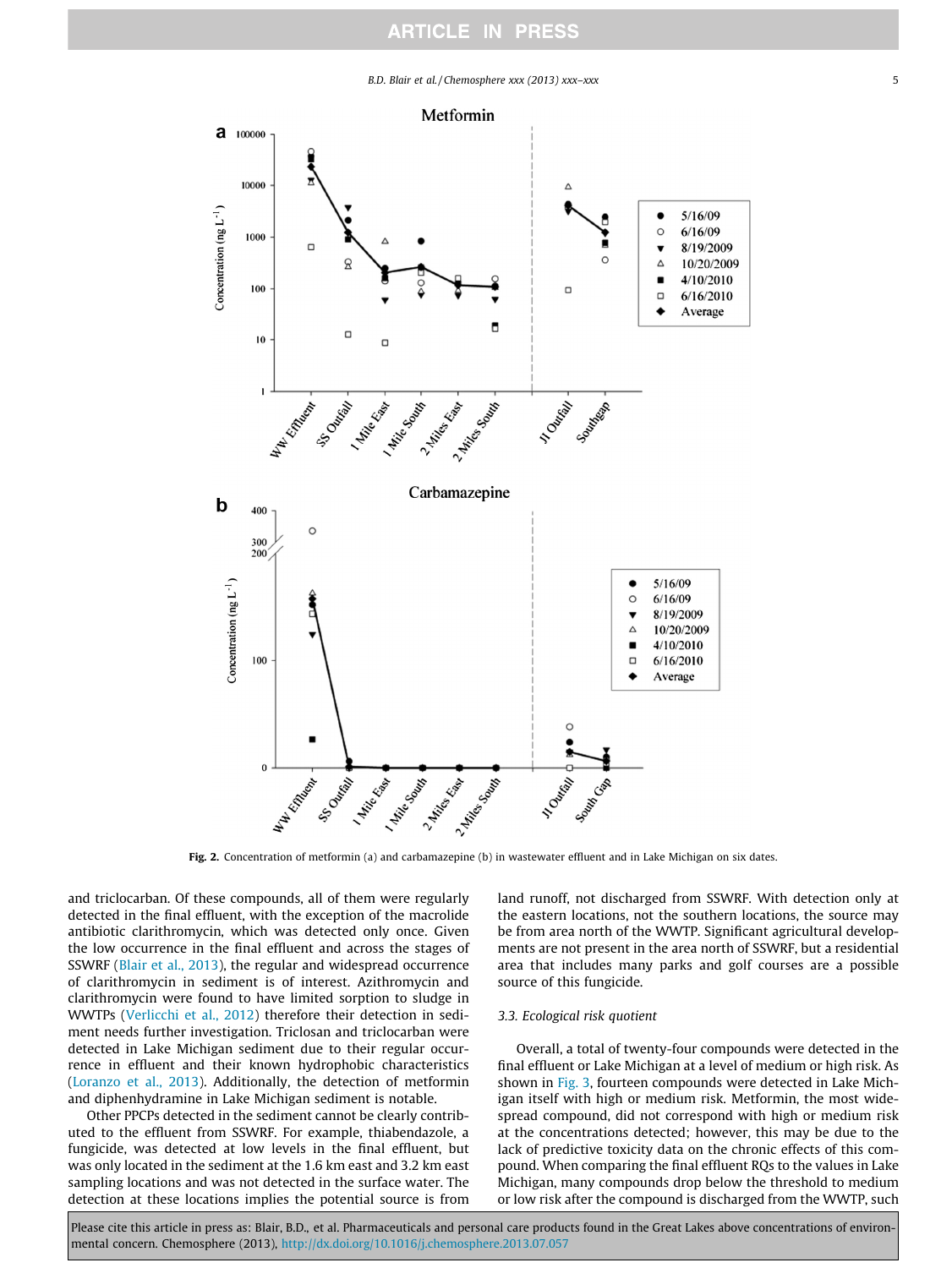B.D. Blair et al. / Chemosphere xxx (2013) xxx–xxx 5

<span id="page-4-0"></span>

Fig. 2. Concentration of metformin (a) and carbamazepine (b) in wastewater effluent and in Lake Michigan on six dates.

and triclocarban. Of these compounds, all of them were regularly detected in the final effluent, with the exception of the macrolide antibiotic clarithromycin, which was detected only once. Given the low occurrence in the final effluent and across the stages of SSWRF [\(Blair et al., 2013\)](#page-6-0), the regular and widespread occurrence of clarithromycin in sediment is of interest. Azithromycin and clarithromycin were found to have limited sorption to sludge in WWTPs ([Verlicchi et al., 2012](#page-7-0)) therefore their detection in sediment needs further investigation. Triclosan and triclocarban were detected in Lake Michigan sediment due to their regular occurrence in effluent and their known hydrophobic characteristics ([Loranzo et al., 2013\)](#page-6-0). Additionally, the detection of metformin and diphenhydramine in Lake Michigan sediment is notable.

Other PPCPs detected in the sediment cannot be clearly contributed to the effluent from SSWRF. For example, thiabendazole, a fungicide, was detected at low levels in the final effluent, but was only located in the sediment at the 1.6 km east and 3.2 km east sampling locations and was not detected in the surface water. The detection at these locations implies the potential source is from land runoff, not discharged from SSWRF. With detection only at the eastern locations, not the southern locations, the source may be from area north of the WWTP. Significant agricultural developments are not present in the area north of SSWRF, but a residential area that includes many parks and golf courses are a possible source of this fungicide.

## 3.3. Ecological risk quotient

Overall, a total of twenty-four compounds were detected in the final effluent or Lake Michigan at a level of medium or high risk. As shown in [Fig. 3](#page-5-0), fourteen compounds were detected in Lake Michigan itself with high or medium risk. Metformin, the most widespread compound, did not correspond with high or medium risk at the concentrations detected; however, this may be due to the lack of predictive toxicity data on the chronic effects of this compound. When comparing the final effluent RQs to the values in Lake Michigan, many compounds drop below the threshold to medium or low risk after the compound is discharged from the WWTP, such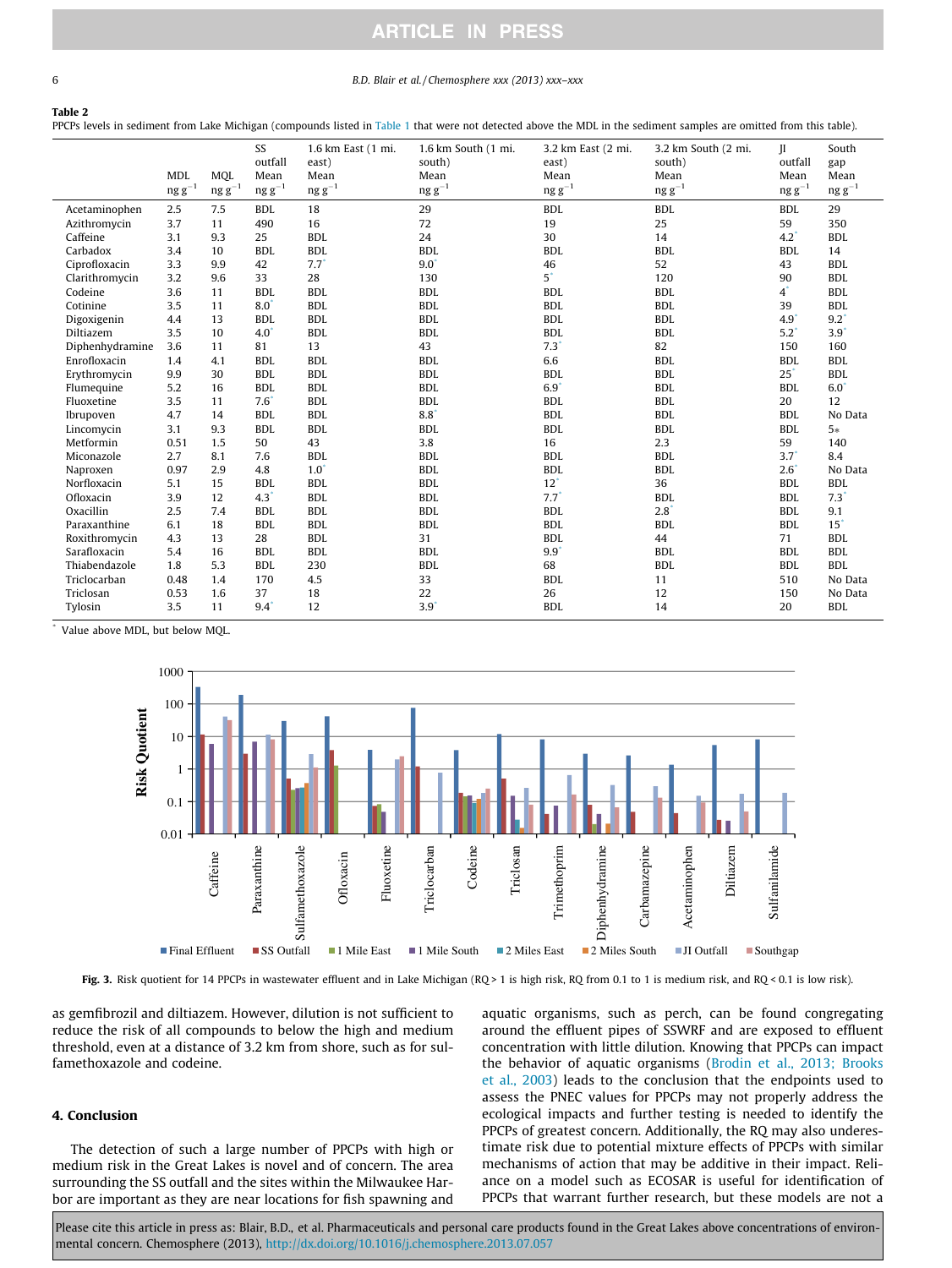#### <span id="page-5-0"></span>6 B.D. Blair et al. / Chemosphere xxx (2013) xxx–xxx

#### Table 2

PPCPs levels in sediment from Lake Michigan (compounds listed in [Table 1](#page-3-0) that were not detected above the MDL in the sediment samples are omitted from this table).

|                 |                  |            | SS              | 1.6 km East (1 mi. | 1.6 km South (1 mi. | 3.2 km East (2 mi. | 3.2 km South (2 mi. | H             | South             |
|-----------------|------------------|------------|-----------------|--------------------|---------------------|--------------------|---------------------|---------------|-------------------|
|                 |                  |            | outfall         | east)              | south)              | east)              | south)              | outfall       | gap               |
|                 | <b>MDL</b>       | MOL        | Mean            | Mean               | Mean                | Mean               | Mean                | Mean          | Mean              |
|                 | $\rm ng\ g^{-1}$ | $ngg^{-1}$ | $ngg^{-1}$      | $\rm ng\ g^{-1}$   | $ngg^{-1}$          | $ngg^{-1}$         | $ngg^{-1}$          | $ngg^{-1}$    | $ng g^{-1}$       |
| Acetaminophen   | 2.5              | 7.5        | <b>BDL</b>      | 18                 | 29                  | <b>BDL</b>         | <b>BDL</b>          | <b>BDL</b>    | 29                |
| Azithromycin    | 3.7              | 11         | 490             | 16                 | 72                  | 19                 | 25                  | 59            | 350               |
| Caffeine        | 3.1              | 9.3        | 25              | <b>BDL</b>         | 24                  | 30                 | 14                  | 4.2           | <b>BDL</b>        |
| Carbadox        | 3.4              | 10         | <b>BDL</b>      | <b>BDL</b>         | <b>BDL</b>          | <b>BDL</b>         | <b>BDL</b>          | <b>BDL</b>    | 14                |
| Ciprofloxacin   | 3.3              | 9.9        | 42              | $7.7^{\degree}$    | $9.0^{\degree}$     | 46                 | 52                  | 43            | BDI.              |
| Clarithromycin  | 3.2              | 9.6        | 33              | 28                 | 130                 | $5*$               | 120                 | 90            | <b>BDL</b>        |
| Codeine         | 3.6              | 11         | <b>BDL</b>      | <b>BDL</b>         | <b>BDL</b>          | <b>BDL</b>         | <b>BDL</b>          | $4^{\degree}$ | <b>BDL</b>        |
| Cotinine        | 3.5              | 11         | $8.0^{\degree}$ | <b>BDL</b>         | <b>BDL</b>          | <b>BDL</b>         | <b>BDL</b>          | 39            | <b>BDL</b>        |
| Digoxigenin     | 4.4              | 13         | <b>BDL</b>      | <b>BDL</b>         | <b>BDL</b>          | <b>BDL</b>         | <b>BDL</b>          | 4.9           | $9.2^{\degree}$   |
| Diltiazem       | 3.5              | 10         | 4.0             | <b>BDL</b>         | <b>BDL</b>          | <b>BDL</b>         | <b>BDL</b>          | 5.2           | $3.9^{\degree}$   |
| Diphenhydramine | 3.6              | 11         | 81              | 13                 | 43                  | $7.3$ <sup>*</sup> | 82                  | 150           | 160               |
| Enrofloxacin    | 1.4              | 4.1        | <b>BDL</b>      | BDI.               | <b>BDL</b>          | 6.6                | <b>BDL</b>          | <b>BDL</b>    | <b>BDL</b>        |
| Erythromycin    | 9.9              | 30         | <b>BDL</b>      | BDI.               | <b>BDL</b>          | <b>BDL</b>         | <b>BDL</b>          | $25^\circ$    | <b>BDL</b>        |
| Flumequine      | 5.2              | 16         | BDI.            | BDI.               | BDI.                | $6.9^{\degree}$    | <b>BDL</b>          | <b>BDL</b>    | $6.0^\circ$       |
| Fluoxetine      | 3.5              | 11         | 7.6             | BDI.               | BDI.                | <b>BDL</b>         | <b>BDL</b>          | 20            | 12                |
| Ibrupoven       | 4.7              | 14         | <b>BDL</b>      | <b>BDL</b>         | $8.8^{\circ}$       | <b>BDL</b>         | <b>BDL</b>          | <b>BDL</b>    | No Data           |
| Lincomycin      | 3.1              | 9.3        | <b>BDL</b>      | <b>BDL</b>         | <b>BDL</b>          | <b>BDL</b>         | <b>BDL</b>          | <b>BDL</b>    | $5*$              |
| Metformin       | 0.51             | 1.5        | 50              | 43                 | 3.8                 | 16                 | 2.3                 | 59            | 140               |
| Miconazole      | 2.7              | 8.1        | 7.6             | <b>BDL</b>         | <b>BDL</b>          | <b>BDL</b>         | <b>BDL</b>          | 3.7"          | 8.4               |
| Naproxen        | 0.97             | 2.9        | 4.8             | $1.0^\circ$        | <b>BDL</b>          | <b>BDL</b>         | <b>BDL</b>          | 2.6"          | No Data           |
| Norfloxacin     | 5.1              | 15         | <b>BDL</b>      | <b>BDL</b>         | <b>BDL</b>          | $12^*$             | 36                  | <b>BDL</b>    | <b>BDL</b>        |
| Ofloxacin       | 3.9              | 12         | 4.3             | <b>BDL</b>         | <b>BDL</b>          | 7.7                | <b>BDL</b>          | <b>BDL</b>    | 7.3               |
| Oxacillin       | 2.5              | 7.4        | <b>BDL</b>      | BDI.               | <b>BDL</b>          | <b>BDL</b>         | $2.8^{\degree}$     | <b>BDL</b>    | 9.1               |
| Paraxanthine    | 6.1              | 18         | <b>BDL</b>      | BDI.               | <b>BDL</b>          | <b>BDL</b>         | <b>BDL</b>          | <b>BDL</b>    | $15$ <sup>*</sup> |
| Roxithromycin   | 4.3              | 13         | 28              | <b>BDL</b>         | 31                  | <b>BDL</b>         | 44                  | 71            | <b>BDL</b>        |
| Sarafloxacin    | 5.4              | 16         | <b>BDL</b>      | <b>BDL</b>         | <b>BDL</b>          | 9.9"               | <b>BDL</b>          | <b>BDL</b>    | <b>BDL</b>        |
| Thiabendazole   | 1.8              | 5.3        | <b>BDL</b>      | 230                | <b>BDL</b>          | 68                 | <b>BDL</b>          | <b>BDL</b>    | <b>BDL</b>        |
| Triclocarban    | 0.48             | 1.4        | 170             | 4.5                | 33                  | <b>BDL</b>         | 11                  | 510           | No Data           |
| Triclosan       | 0.53             | 1.6        | 37              | 18                 | 22                  | 26                 | 12                  | 150           | No Data           |
| Tylosin         | 3.5              | 11         | 9.4             | 12                 | 3.9                 | <b>BDL</b>         | 14                  | 20            | <b>BDL</b>        |
|                 |                  |            |                 |                    |                     |                    |                     |               |                   |

Value above MDL, but below MQL



Fig. 3. Risk quotient for 14 PPCPs in wastewater effluent and in Lake Michigan (RQ > 1 is high risk, RQ from 0.1 to 1 is medium risk, and RQ < 0.1 is low risk).

as gemfibrozil and diltiazem. However, dilution is not sufficient to reduce the risk of all compounds to below the high and medium threshold, even at a distance of 3.2 km from shore, such as for sulfamethoxazole and codeine.

### 4. Conclusion

The detection of such a large number of PPCPs with high or medium risk in the Great Lakes is novel and of concern. The area surrounding the SS outfall and the sites within the Milwaukee Harbor are important as they are near locations for fish spawning and aquatic organisms, such as perch, can be found congregating around the effluent pipes of SSWRF and are exposed to effluent concentration with little dilution. Knowing that PPCPs can impact the behavior of aquatic organisms [\(Brodin et al., 2013; Brooks](#page-6-0) [et al., 2003\)](#page-6-0) leads to the conclusion that the endpoints used to assess the PNEC values for PPCPs may not properly address the ecological impacts and further testing is needed to identify the PPCPs of greatest concern. Additionally, the RQ may also underestimate risk due to potential mixture effects of PPCPs with similar mechanisms of action that may be additive in their impact. Reliance on a model such as ECOSAR is useful for identification of PPCPs that warrant further research, but these models are not a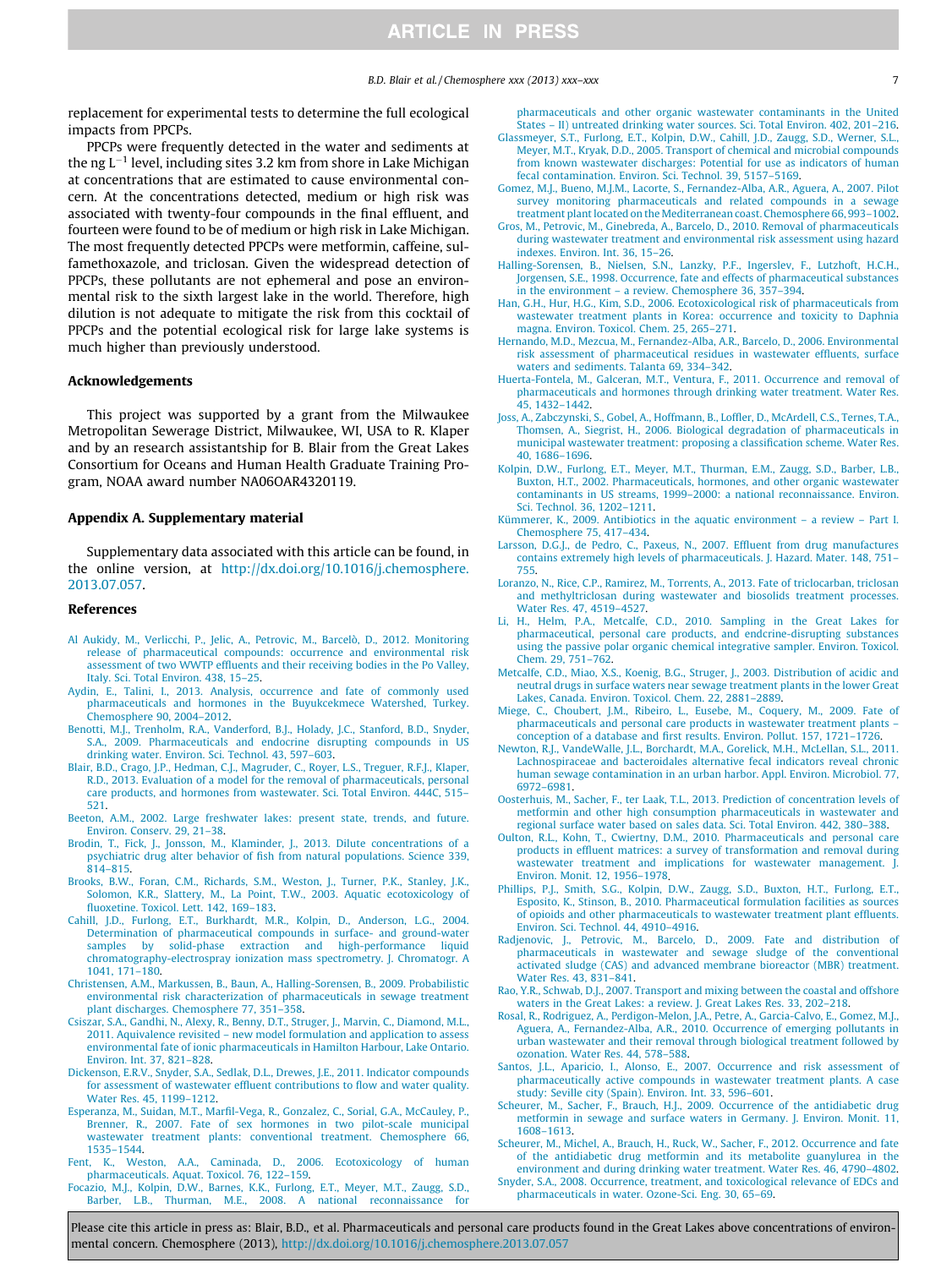#### B.D. Blair et al. / Chemosphere xxx (2013) xxx–xxx 7

<span id="page-6-0"></span>replacement for experimental tests to determine the full ecological impacts from PPCPs.

PPCPs were frequently detected in the water and sediments at the ng  $L^{-1}$  level, including sites 3.2 km from shore in Lake Michigan at concentrations that are estimated to cause environmental concern. At the concentrations detected, medium or high risk was associated with twenty-four compounds in the final effluent, and fourteen were found to be of medium or high risk in Lake Michigan. The most frequently detected PPCPs were metformin, caffeine, sulfamethoxazole, and triclosan. Given the widespread detection of PPCPs, these pollutants are not ephemeral and pose an environmental risk to the sixth largest lake in the world. Therefore, high dilution is not adequate to mitigate the risk from this cocktail of PPCPs and the potential ecological risk for large lake systems is much higher than previously understood.

#### Acknowledgements

This project was supported by a grant from the Milwaukee Metropolitan Sewerage District, Milwaukee, WI, USA to R. Klaper and by an research assistantship for B. Blair from the Great Lakes Consortium for Oceans and Human Health Graduate Training Program, NOAA award number NA06OAR4320119.

#### Appendix A. Supplementary material

Supplementary data associated with this article can be found, in the online version, at [http://dx.doi.org/10.1016/j.chemosphere.](http://dx.doi.org/10.1016/j.chemosphere.2013.07.057) [2013.07.057](http://dx.doi.org/10.1016/j.chemosphere.2013.07.057).

#### References

- [Al Aukidy, M., Verlicchi, P., Jelic, A., Petrovic, M., Barcelò, D., 2012. Monitoring](http://refhub.elsevier.com/S0045-6535(13)01041-2/h0005) [release of pharmaceutical compounds: occurrence and environmental risk](http://refhub.elsevier.com/S0045-6535(13)01041-2/h0005) [assessment of two WWTP effluents and their receiving bodies in the Po Valley,](http://refhub.elsevier.com/S0045-6535(13)01041-2/h0005) [Italy. Sci. Total Environ. 438, 15–25.](http://refhub.elsevier.com/S0045-6535(13)01041-2/h0005)
- [Aydin, E., Talini, I., 2013. Analysis, occurrence and fate of commonly used](http://refhub.elsevier.com/S0045-6535(13)01041-2/h0010) [pharmaceuticals and hormones in the Buyukcekmece Watershed, Turkey.](http://refhub.elsevier.com/S0045-6535(13)01041-2/h0010) [Chemosphere 90, 2004–2012](http://refhub.elsevier.com/S0045-6535(13)01041-2/h0010).
- [Benotti, M.J., Trenholm, R.A., Vanderford, B.J., Holady, J.C., Stanford, B.D., Snyder,](http://refhub.elsevier.com/S0045-6535(13)01041-2/h0015) [S.A., 2009. Pharmaceuticals and endocrine disrupting compounds in US](http://refhub.elsevier.com/S0045-6535(13)01041-2/h0015) [drinking water. Environ. Sci. Technol. 43, 597–603](http://refhub.elsevier.com/S0045-6535(13)01041-2/h0015).
- [Blair, B.D., Crago, J.P., Hedman, C.J., Magruder, C., Royer, L.S., Treguer, R.F.J., Klaper,](http://refhub.elsevier.com/S0045-6535(13)01041-2/h0020) [R.D., 2013. Evaluation of a model for the removal of pharmaceuticals, personal](http://refhub.elsevier.com/S0045-6535(13)01041-2/h0020) [care products, and hormones from wastewater. Sci. Total Environ. 444C, 515–](http://refhub.elsevier.com/S0045-6535(13)01041-2/h0020) [521.](http://refhub.elsevier.com/S0045-6535(13)01041-2/h0020)
- [Beeton, A.M., 2002. Large freshwater lakes: present state, trends, and future.](http://refhub.elsevier.com/S0045-6535(13)01041-2/h5020) [Environ. Conserv. 29, 21–38.](http://refhub.elsevier.com/S0045-6535(13)01041-2/h5020)
- [Brodin, T., Fick, J., Jonsson, M., Klaminder, J., 2013. Dilute concentrations of a](http://refhub.elsevier.com/S0045-6535(13)01041-2/h0025) [psychiatric drug alter behavior of fish from natural populations. Science 339,](http://refhub.elsevier.com/S0045-6535(13)01041-2/h0025) [814–815](http://refhub.elsevier.com/S0045-6535(13)01041-2/h0025).
- [Brooks, B.W., Foran, C.M., Richards, S.M., Weston, J., Turner, P.K., Stanley, J.K.,](http://refhub.elsevier.com/S0045-6535(13)01041-2/h0030) [Solomon, K.R., Slattery, M., La Point, T.W., 2003. Aquatic ecotoxicology of](http://refhub.elsevier.com/S0045-6535(13)01041-2/h0030) [fluoxetine. Toxicol. Lett. 142, 169–183](http://refhub.elsevier.com/S0045-6535(13)01041-2/h0030).
- [Cahill, J.D., Furlong, E.T., Burkhardt, M.R., Kolpin, D., Anderson, L.G., 2004.](http://refhub.elsevier.com/S0045-6535(13)01041-2/h0035) [Determination of pharmaceutical compounds in surface- and ground-water](http://refhub.elsevier.com/S0045-6535(13)01041-2/h0035) [samples by solid-phase extraction and high-performance liquid](http://refhub.elsevier.com/S0045-6535(13)01041-2/h0035) [chromatography-electrospray ionization mass spectrometry. J. Chromatogr. A](http://refhub.elsevier.com/S0045-6535(13)01041-2/h0035) [1041, 171–180.](http://refhub.elsevier.com/S0045-6535(13)01041-2/h0035)
- [Christensen, A.M., Markussen, B., Baun, A., Halling-Sorensen, B., 2009. Probabilistic](http://refhub.elsevier.com/S0045-6535(13)01041-2/h0040) [environmental risk characterization of pharmaceuticals in sewage treatment](http://refhub.elsevier.com/S0045-6535(13)01041-2/h0040) [plant discharges. Chemosphere 77, 351–358](http://refhub.elsevier.com/S0045-6535(13)01041-2/h0040).
- [Csiszar, S.A., Gandhi, N., Alexy, R., Benny, D.T., Struger, J., Marvin, C., Diamond, M.L.,](http://refhub.elsevier.com/S0045-6535(13)01041-2/h0045) [2011. Aquivalence revisited – new model formulation and application to assess](http://refhub.elsevier.com/S0045-6535(13)01041-2/h0045) [environmental fate of ionic pharmaceuticals in Hamilton Harbour, Lake Ontario.](http://refhub.elsevier.com/S0045-6535(13)01041-2/h0045) [Environ. Int. 37, 821–828.](http://refhub.elsevier.com/S0045-6535(13)01041-2/h0045)
- [Dickenson, E.R.V., Snyder, S.A., Sedlak, D.L., Drewes, J.E., 2011. Indicator compounds](http://refhub.elsevier.com/S0045-6535(13)01041-2/h0050) [for assessment of wastewater effluent contributions to flow and water quality.](http://refhub.elsevier.com/S0045-6535(13)01041-2/h0050) [Water Res. 45, 1199–1212.](http://refhub.elsevier.com/S0045-6535(13)01041-2/h0050)
- [Esperanza, M., Suidan, M.T., Marfil-Vega, R., Gonzalez, C., Sorial, G.A., McCauley, P.,](http://refhub.elsevier.com/S0045-6535(13)01041-2/h0055) [Brenner, R., 2007. Fate of sex hormones in two pilot-scale municipal](http://refhub.elsevier.com/S0045-6535(13)01041-2/h0055) [wastewater treatment plants: conventional treatment. Chemosphere 66,](http://refhub.elsevier.com/S0045-6535(13)01041-2/h0055) [1535–1544.](http://refhub.elsevier.com/S0045-6535(13)01041-2/h0055)
- [Fent, K., Weston, A.A., Caminada, D., 2006. Ecotoxicology of human](http://refhub.elsevier.com/S0045-6535(13)01041-2/h0060) [pharmaceuticals. Aquat. Toxicol. 76, 122–159.](http://refhub.elsevier.com/S0045-6535(13)01041-2/h0060)
- [Focazio, M.J., Kolpin, D.W., Barnes, K.K., Furlong, E.T., Meyer, M.T., Zaugg, S.D.,](http://refhub.elsevier.com/S0045-6535(13)01041-2/h0065) [Barber, L.B., Thurman, M.E., 2008. A national reconnaissance for](http://refhub.elsevier.com/S0045-6535(13)01041-2/h0065)

[pharmaceuticals and other organic wastewater contaminants in the United](http://refhub.elsevier.com/S0045-6535(13)01041-2/h0065) [States – II\) untreated drinking water sources. Sci. Total Environ. 402, 201–216.](http://refhub.elsevier.com/S0045-6535(13)01041-2/h0065)

- [Glassmeyer, S.T., Furlong, E.T., Kolpin, D.W., Cahill, J.D., Zaugg, S.D., Werner, S.L.,](http://refhub.elsevier.com/S0045-6535(13)01041-2/h0070) [Meyer, M.T., Kryak, D.D., 2005. Transport of chemical and microbial compounds](http://refhub.elsevier.com/S0045-6535(13)01041-2/h0070) [from known wastewater discharges: Potential for use as indicators of human](http://refhub.elsevier.com/S0045-6535(13)01041-2/h0070) [fecal contamination. Environ. Sci. Technol. 39, 5157–5169.](http://refhub.elsevier.com/S0045-6535(13)01041-2/h0070)
- [Gomez, M.J., Bueno, M.J.M., Lacorte, S., Fernandez-Alba, A.R., Aguera, A., 2007. Pilot](http://refhub.elsevier.com/S0045-6535(13)01041-2/h0075) [survey monitoring pharmaceuticals and related compounds in a sewage](http://refhub.elsevier.com/S0045-6535(13)01041-2/h0075) [treatment plant located on the Mediterranean coast. Chemosphere 66, 993–1002.](http://refhub.elsevier.com/S0045-6535(13)01041-2/h0075)
- [Gros, M., Petrovic, M., Ginebreda, A., Barcelo, D., 2010. Removal of pharmaceuticals](http://refhub.elsevier.com/S0045-6535(13)01041-2/h0080) [during wastewater treatment and environmental risk assessment using hazard](http://refhub.elsevier.com/S0045-6535(13)01041-2/h0080) [indexes. Environ. Int. 36, 15–26.](http://refhub.elsevier.com/S0045-6535(13)01041-2/h0080)
- [Halling-Sorensen, B., Nielsen, S.N., Lanzky, P.F., Ingerslev, F., Lutzhoft, H.C.H.,](http://refhub.elsevier.com/S0045-6535(13)01041-2/h0085) [Jorgensen, S.E., 1998. Occurrence, fate and effects of pharmaceutical substances](http://refhub.elsevier.com/S0045-6535(13)01041-2/h0085) [in the environment – a review. Chemosphere 36, 357–394.](http://refhub.elsevier.com/S0045-6535(13)01041-2/h0085)
- [Han, G.H., Hur, H.G., Kim, S.D., 2006. Ecotoxicological risk of pharmaceuticals from](http://refhub.elsevier.com/S0045-6535(13)01041-2/h0090) [wastewater treatment plants in Korea: occurrence and toxicity to Daphnia](http://refhub.elsevier.com/S0045-6535(13)01041-2/h0090) [magna. Environ. Toxicol. Chem. 25, 265–271](http://refhub.elsevier.com/S0045-6535(13)01041-2/h0090).
- [Hernando, M.D., Mezcua, M., Fernandez-Alba, A.R., Barcelo, D., 2006. Environmental](http://refhub.elsevier.com/S0045-6535(13)01041-2/h0095) [risk assessment of pharmaceutical residues in wastewater effluents, surface](http://refhub.elsevier.com/S0045-6535(13)01041-2/h0095) [waters and sediments. Talanta 69, 334–342.](http://refhub.elsevier.com/S0045-6535(13)01041-2/h0095)
- [Huerta-Fontela, M., Galceran, M.T., Ventura, F., 2011. Occurrence and removal of](http://refhub.elsevier.com/S0045-6535(13)01041-2/h0100) [pharmaceuticals and hormones through drinking water treatment. Water Res.](http://refhub.elsevier.com/S0045-6535(13)01041-2/h0100) [45, 1432–1442](http://refhub.elsevier.com/S0045-6535(13)01041-2/h0100).
- [Joss, A., Zabczynski, S., Gobel, A., Hoffmann, B., Loffler, D., McArdell, C.S., Ternes, T.A.,](http://refhub.elsevier.com/S0045-6535(13)01041-2/h0105) [Thomsen, A., Siegrist, H., 2006. Biological degradation of pharmaceuticals in](http://refhub.elsevier.com/S0045-6535(13)01041-2/h0105) [municipal wastewater treatment: proposing a classification scheme. Water Res.](http://refhub.elsevier.com/S0045-6535(13)01041-2/h0105) [40, 1686–1696](http://refhub.elsevier.com/S0045-6535(13)01041-2/h0105).
- [Kolpin, D.W., Furlong, E.T., Meyer, M.T., Thurman, E.M., Zaugg, S.D., Barber, L.B.,](http://refhub.elsevier.com/S0045-6535(13)01041-2/h0110) [Buxton, H.T., 2002. Pharmaceuticals, hormones, and other organic wastewater](http://refhub.elsevier.com/S0045-6535(13)01041-2/h0110) [contaminants in US streams, 1999–2000: a national reconnaissance. Environ.](http://refhub.elsevier.com/S0045-6535(13)01041-2/h0110) [Sci. Technol. 36, 1202–1211.](http://refhub.elsevier.com/S0045-6535(13)01041-2/h0110)
- [Kümmerer, K., 2009. Antibiotics in the aquatic environment a review Part I.](http://refhub.elsevier.com/S0045-6535(13)01041-2/h0115) [Chemosphere 75, 417–434.](http://refhub.elsevier.com/S0045-6535(13)01041-2/h0115)
- [Larsson, D.G.J., de Pedro, C., Paxeus, N., 2007. Effluent from drug manufactures](http://refhub.elsevier.com/S0045-6535(13)01041-2/h0120) [contains extremely high levels of pharmaceuticals. J. Hazard. Mater. 148, 751–](http://refhub.elsevier.com/S0045-6535(13)01041-2/h0120) [755.](http://refhub.elsevier.com/S0045-6535(13)01041-2/h0120)
- [Loranzo, N., Rice, C.P., Ramirez, M., Torrents, A., 2013. Fate of triclocarban, triclosan](http://refhub.elsevier.com/S0045-6535(13)01041-2/h5120) [and methyltriclosan during wastewater and biosolids treatment processes.](http://refhub.elsevier.com/S0045-6535(13)01041-2/h5120) [Water Res. 47, 4519–4527.](http://refhub.elsevier.com/S0045-6535(13)01041-2/h5120)
- [Li, H., Helm, P.A., Metcalfe, C.D., 2010. Sampling in the Great Lakes for](http://refhub.elsevier.com/S0045-6535(13)01041-2/h0125) [pharmaceutical, personal care products, and endcrine-disrupting substances](http://refhub.elsevier.com/S0045-6535(13)01041-2/h0125) [using the passive polar organic chemical integrative sampler. Environ. Toxicol.](http://refhub.elsevier.com/S0045-6535(13)01041-2/h0125) [Chem. 29, 751–762.](http://refhub.elsevier.com/S0045-6535(13)01041-2/h0125)
- [Metcalfe, C.D., Miao, X.S., Koenig, B.G., Struger, J., 2003. Distribution of acidic and](http://refhub.elsevier.com/S0045-6535(13)01041-2/h0130) [neutral drugs in surface waters near sewage treatment plants in the lower Great](http://refhub.elsevier.com/S0045-6535(13)01041-2/h0130) [Lakes, Canada. Environ. Toxicol. Chem. 22, 2881–2889.](http://refhub.elsevier.com/S0045-6535(13)01041-2/h0130)
- [Miege, C., Choubert, J.M., Ribeiro, L., Eusebe, M., Coquery, M., 2009. Fate of](http://refhub.elsevier.com/S0045-6535(13)01041-2/h0135) [pharmaceuticals and personal care products in wastewater treatment plants –](http://refhub.elsevier.com/S0045-6535(13)01041-2/h0135) [conception of a database and first results. Environ. Pollut. 157, 1721–1726.](http://refhub.elsevier.com/S0045-6535(13)01041-2/h0135)
- [Newton, R.J., VandeWalle, J.L., Borchardt, M.A., Gorelick, M.H., McLellan, S.L., 2011.](http://refhub.elsevier.com/S0045-6535(13)01041-2/h0140) [Lachnospiraceae and bacteroidales alternative fecal indicators reveal chronic](http://refhub.elsevier.com/S0045-6535(13)01041-2/h0140) [human sewage contamination in an urban harbor. Appl. Environ. Microbiol. 77,](http://refhub.elsevier.com/S0045-6535(13)01041-2/h0140) [6972–6981.](http://refhub.elsevier.com/S0045-6535(13)01041-2/h0140)
- [Oosterhuis, M., Sacher, F., ter Laak, T.L., 2013. Prediction of concentration levels of](http://refhub.elsevier.com/S0045-6535(13)01041-2/h0145) [metformin and other high consumption pharmaceuticals in wastewater and](http://refhub.elsevier.com/S0045-6535(13)01041-2/h0145) [regional surface water based on sales data. Sci. Total Environ. 442, 380–388](http://refhub.elsevier.com/S0045-6535(13)01041-2/h0145).
- [Oulton, R.L., Kohn, T., Cwiertny, D.M., 2010. Pharmaceuticals and personal care](http://refhub.elsevier.com/S0045-6535(13)01041-2/h0150) [products in effluent matrices: a survey of transformation and removal during](http://refhub.elsevier.com/S0045-6535(13)01041-2/h0150) [wastewater treatment and implications for wastewater management. J.](http://refhub.elsevier.com/S0045-6535(13)01041-2/h0150) [Environ. Monit. 12, 1956–1978](http://refhub.elsevier.com/S0045-6535(13)01041-2/h0150).
- [Phillips, P.J., Smith, S.G., Kolpin, D.W., Zaugg, S.D., Buxton, H.T., Furlong, E.T.,](http://refhub.elsevier.com/S0045-6535(13)01041-2/h0155) [Esposito, K., Stinson, B., 2010. Pharmaceutical formulation facilities as sources](http://refhub.elsevier.com/S0045-6535(13)01041-2/h0155) [of opioids and other pharmaceuticals to wastewater treatment plant effluents.](http://refhub.elsevier.com/S0045-6535(13)01041-2/h0155) [Environ. Sci. Technol. 44, 4910–4916.](http://refhub.elsevier.com/S0045-6535(13)01041-2/h0155)
- [Radjenovic, J., Petrovic, M., Barcelo, D., 2009. Fate and distribution of](http://refhub.elsevier.com/S0045-6535(13)01041-2/h0160) [pharmaceuticals in wastewater and sewage sludge of the conventional](http://refhub.elsevier.com/S0045-6535(13)01041-2/h0160) [activated sludge \(CAS\) and advanced membrane bioreactor \(MBR\) treatment.](http://refhub.elsevier.com/S0045-6535(13)01041-2/h0160) [Water Res. 43, 831–841](http://refhub.elsevier.com/S0045-6535(13)01041-2/h0160).
- [Rao, Y.R., Schwab, D.J., 2007. Transport and mixing between the coastal and offshore](http://refhub.elsevier.com/S0045-6535(13)01041-2/h5110) [waters in the Great Lakes: a review. J. Great Lakes Res. 33, 202–218.](http://refhub.elsevier.com/S0045-6535(13)01041-2/h5110)
- [Rosal, R., Rodriguez, A., Perdigon-Melon, J.A., Petre, A., Garcia-Calvo, E., Gomez, M.J.,](http://refhub.elsevier.com/S0045-6535(13)01041-2/h0165) [Aguera, A., Fernandez-Alba, A.R., 2010. Occurrence of emerging pollutants in](http://refhub.elsevier.com/S0045-6535(13)01041-2/h0165) [urban wastewater and their removal through biological treatment followed by](http://refhub.elsevier.com/S0045-6535(13)01041-2/h0165) [ozonation. Water Res. 44, 578–588](http://refhub.elsevier.com/S0045-6535(13)01041-2/h0165).
- [Santos, J.L., Aparicio, I., Alonso, E., 2007. Occurrence and risk assessment of](http://refhub.elsevier.com/S0045-6535(13)01041-2/h0170) [pharmaceutically active compounds in wastewater treatment plants. A case](http://refhub.elsevier.com/S0045-6535(13)01041-2/h0170) [study: Seville city \(Spain\). Environ. Int. 33, 596–601](http://refhub.elsevier.com/S0045-6535(13)01041-2/h0170).
- [Scheurer, M., Sacher, F., Brauch, H.J., 2009. Occurrence of the antidiabetic drug](http://refhub.elsevier.com/S0045-6535(13)01041-2/h0175) [metformin in sewage and surface waters in Germany. J. Environ. Monit. 11,](http://refhub.elsevier.com/S0045-6535(13)01041-2/h0175) [1608–1613.](http://refhub.elsevier.com/S0045-6535(13)01041-2/h0175)
- [Scheurer, M., Michel, A., Brauch, H., Ruck, W., Sacher, F., 2012. Occurrence and fate](http://refhub.elsevier.com/S0045-6535(13)01041-2/h0180) [of the antidiabetic drug metformin and its metabolite guanylurea in the](http://refhub.elsevier.com/S0045-6535(13)01041-2/h0180) [environment and during drinking water treatment. Water Res. 46, 4790–4802.](http://refhub.elsevier.com/S0045-6535(13)01041-2/h0180)
- [Snyder, S.A., 2008. Occurrence, treatment, and toxicological relevance of EDCs and](http://refhub.elsevier.com/S0045-6535(13)01041-2/h0185) [pharmaceuticals in water. Ozone-Sci. Eng. 30, 65–69.](http://refhub.elsevier.com/S0045-6535(13)01041-2/h0185)